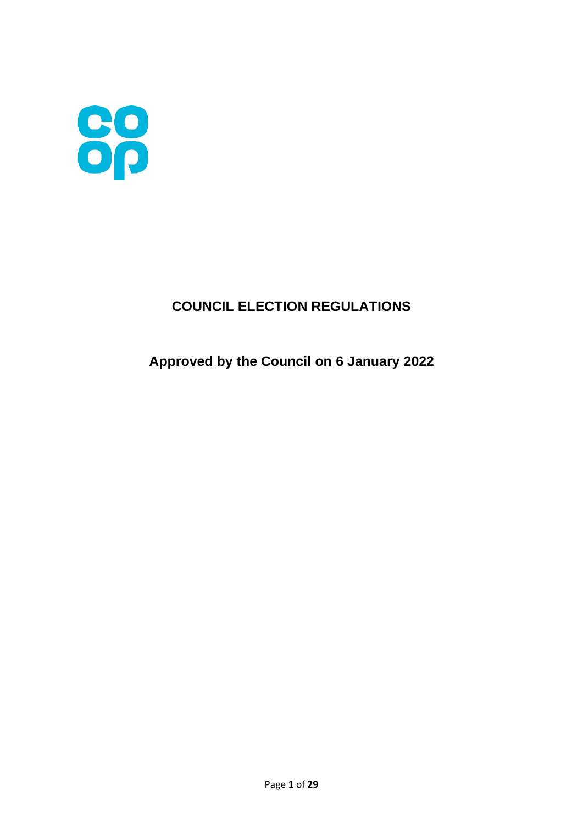

# **COUNCIL ELECTION REGULATIONS**

# **Approved by the Council on 6 January 2022**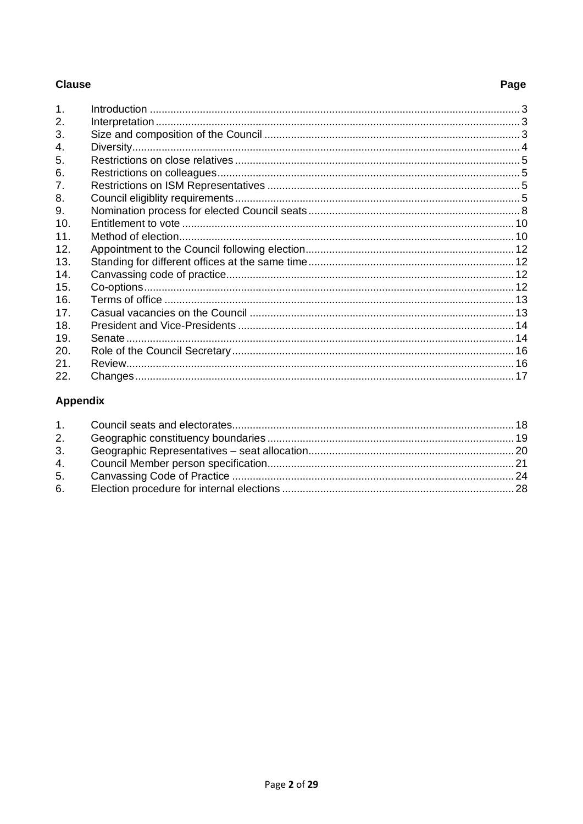### **Clause**

# Page

| $\mathbf{1}$ . |  |
|----------------|--|
| 2.             |  |
| 3.             |  |
| $\mathbf{4}$ . |  |
| 5.             |  |
| 6.             |  |
| 7.             |  |
| 8.             |  |
| 9.             |  |
| 10.            |  |
| 11.            |  |
| 12.            |  |
| 13.            |  |
| 14.            |  |
| 15.            |  |
| 16.            |  |
| 17.            |  |
| 18.            |  |
| 19.            |  |
| 20.            |  |
| 21.            |  |
| 22.            |  |

# **Appendix**

| 2. |  |
|----|--|
| 3. |  |
|    |  |
| 5. |  |
|    |  |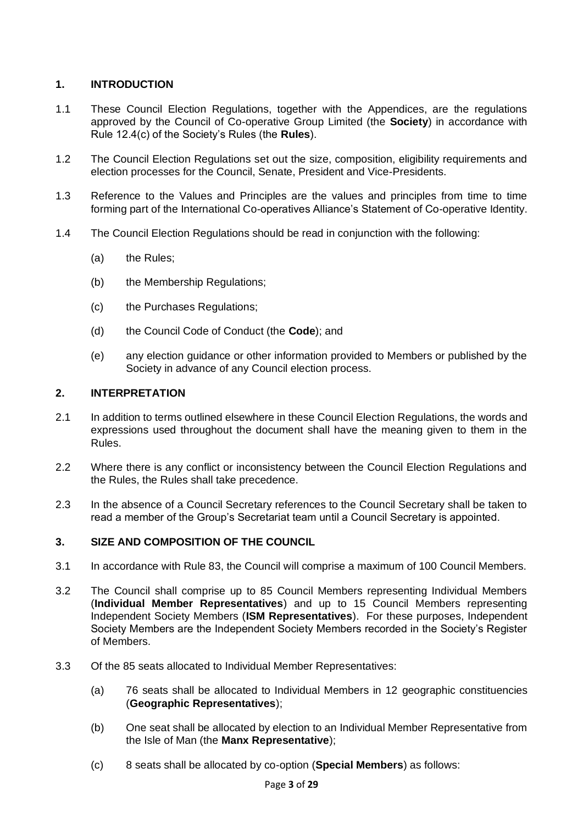### **1. INTRODUCTION**

- 1.1 These Council Election Regulations, together with the Appendices, are the regulations approved by the Council of Co-operative Group Limited (the **Society**) in accordance with Rule 12.4(c) of the Society's Rules (the **Rules**).
- 1.2 The Council Election Regulations set out the size, composition, eligibility requirements and election processes for the Council, Senate, President and Vice-Presidents.
- 1.3 Reference to the Values and Principles are the values and principles from time to time forming part of the International Co-operatives Alliance's Statement of Co-operative Identity.
- 1.4 The Council Election Regulations should be read in conjunction with the following:
	- (a) the Rules;
	- (b) the Membership Regulations;
	- (c) the Purchases Regulations;
	- (d) the Council Code of Conduct (the **Code**); and
	- (e) any election guidance or other information provided to Members or published by the Society in advance of any Council election process.

### **2. INTERPRETATION**

- 2.1 In addition to terms outlined elsewhere in these Council Election Regulations, the words and expressions used throughout the document shall have the meaning given to them in the Rules.
- 2.2 Where there is any conflict or inconsistency between the Council Election Regulations and the Rules, the Rules shall take precedence.
- 2.3 In the absence of a Council Secretary references to the Council Secretary shall be taken to read a member of the Group's Secretariat team until a Council Secretary is appointed.

### **3. SIZE AND COMPOSITION OF THE COUNCIL**

- 3.1 In accordance with Rule 83, the Council will comprise a maximum of 100 Council Members.
- 3.2 The Council shall comprise up to 85 Council Members representing Individual Members (**Individual Member Representatives**) and up to 15 Council Members representing Independent Society Members (**ISM Representatives**). For these purposes, Independent Society Members are the Independent Society Members recorded in the Society's Register of Members.
- 3.3 Of the 85 seats allocated to Individual Member Representatives:
	- (a) 76 seats shall be allocated to Individual Members in 12 geographic constituencies (**Geographic Representatives**);
	- (b) One seat shall be allocated by election to an Individual Member Representative from the Isle of Man (the **Manx Representative**);
	- (c) 8 seats shall be allocated by co-option (**Special Members**) as follows: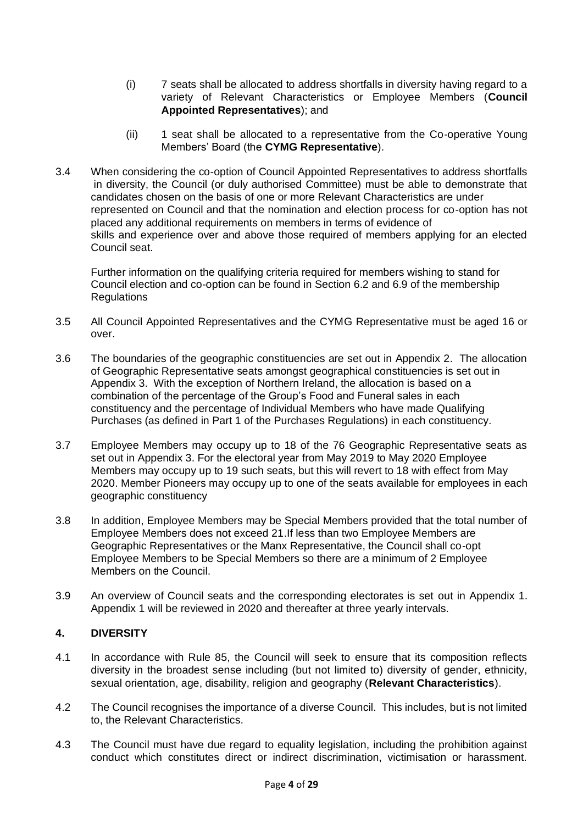- (i) 7 seats shall be allocated to address shortfalls in diversity having regard to a variety of Relevant Characteristics or Employee Members (**Council Appointed Representatives**); and
- (ii) 1 seat shall be allocated to a representative from the Co-operative Young Members' Board (the **CYMG Representative**).
- 3.4 When considering the co-option of Council Appointed Representatives to address shortfalls in diversity, the Council (or duly authorised Committee) must be able to demonstrate that candidates chosen on the basis of one or more Relevant Characteristics are under represented on Council and that the nomination and election process for co-option has not placed any additional requirements on members in terms of evidence of skills and experience over and above those required of members applying for an elected Council seat.

Further information on the qualifying criteria required for members wishing to stand for Council election and co-option can be found in Section 6.2 and 6.9 of the membership **Regulations** 

- 3.5 All Council Appointed Representatives and the CYMG Representative must be aged 16 or over.
- 3.6 The boundaries of the geographic constituencies are set out in Appendix 2. The allocation of Geographic Representative seats amongst geographical constituencies is set out in Appendix 3. With the exception of Northern Ireland, the allocation is based on a combination of the percentage of the Group's Food and Funeral sales in each constituency and the percentage of Individual Members who have made Qualifying Purchases (as defined in Part 1 of the Purchases Regulations) in each constituency.
- 3.7 Employee Members may occupy up to 18 of the 76 Geographic Representative seats as set out in Appendix 3. For the electoral year from May 2019 to May 2020 Employee Members may occupy up to 19 such seats, but this will revert to 18 with effect from May 2020. Member Pioneers may occupy up to one of the seats available for employees in each geographic constituency
- 3.8 In addition, Employee Members may be Special Members provided that the total number of Employee Members does not exceed 21.If less than two Employee Members are Geographic Representatives or the Manx Representative, the Council shall co-opt Employee Members to be Special Members so there are a minimum of 2 Employee Members on the Council.
- 3.9 An overview of Council seats and the corresponding electorates is set out in Appendix 1. Appendix 1 will be reviewed in 2020 and thereafter at three yearly intervals.

### **4. DIVERSITY**

- 4.1 In accordance with Rule 85, the Council will seek to ensure that its composition reflects diversity in the broadest sense including (but not limited to) diversity of gender, ethnicity, sexual orientation, age, disability, religion and geography (**Relevant Characteristics**).
- 4.2 The Council recognises the importance of a diverse Council. This includes, but is not limited to, the Relevant Characteristics.
- 4.3 The Council must have due regard to equality legislation, including the prohibition against conduct which constitutes direct or indirect discrimination, victimisation or harassment.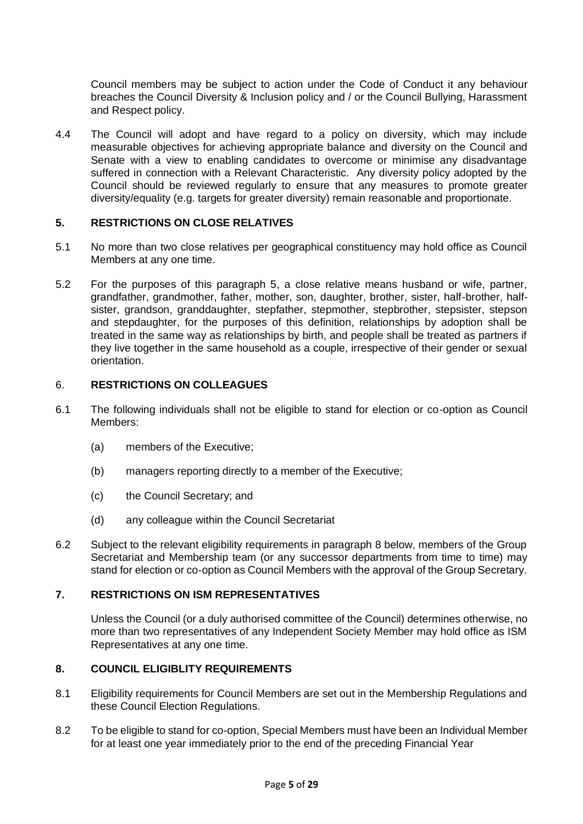Council members may be subject to action under the Code of Conduct it any behaviour breaches the Council Diversity & Inclusion policy and / or the Council Bullying, Harassment and Respect policy.

4.4 The Council will adopt and have regard to a policy on diversity, which may include measurable objectives for achieving appropriate balance and diversity on the Council and Senate with a view to enabling candidates to overcome or minimise any disadvantage suffered in connection with a Relevant Characteristic. Any diversity policy adopted by the Council should be reviewed regularly to ensure that any measures to promote greater diversity/equality (e.g. targets for greater diversity) remain reasonable and proportionate.

#### **5. RESTRICTIONS ON CLOSE RELATIVES**

- 5.1 No more than two close relatives per geographical constituency may hold office as Council Members at any one time.
- 5.2 For the purposes of this paragraph 5, a close relative means husband or wife, partner, grandfather, grandmother, father, mother, son, daughter, brother, sister, half-brother, halfsister, grandson, granddaughter, stepfather, stepmother, stepbrother, stepsister, stepson and stepdaughter, for the purposes of this definition, relationships by adoption shall be treated in the same way as relationships by birth, and people shall be treated as partners if they live together in the same household as a couple, irrespective of their gender or sexual orientation.

#### 6. **RESTRICTIONS ON COLLEAGUES**

- 6.1 The following individuals shall not be eligible to stand for election or co-option as Council Members:
	- (a) members of the Executive;
	- (b) managers reporting directly to a member of the Executive;
	- (c) the Council Secretary; and
	- (d) any colleague within the Council Secretariat
- 6.2 Subject to the relevant eligibility requirements in paragraph 8 below, members of the Group Secretariat and Membership team (or any successor departments from time to time) may stand for election or co-option as Council Members with the approval of the Group Secretary.

#### **7. RESTRICTIONS ON ISM REPRESENTATIVES**

Unless the Council (or a duly authorised committee of the Council) determines otherwise, no more than two representatives of any Independent Society Member may hold office as ISM Representatives at any one time.

### **8. COUNCIL ELIGIBLITY REQUIREMENTS**

- 8.1 Eligibility requirements for Council Members are set out in the Membership Regulations and these Council Election Regulations.
- 8.2 To be eligible to stand for co-option, Special Members must have been an Individual Member for at least one year immediately prior to the end of the preceding Financial Year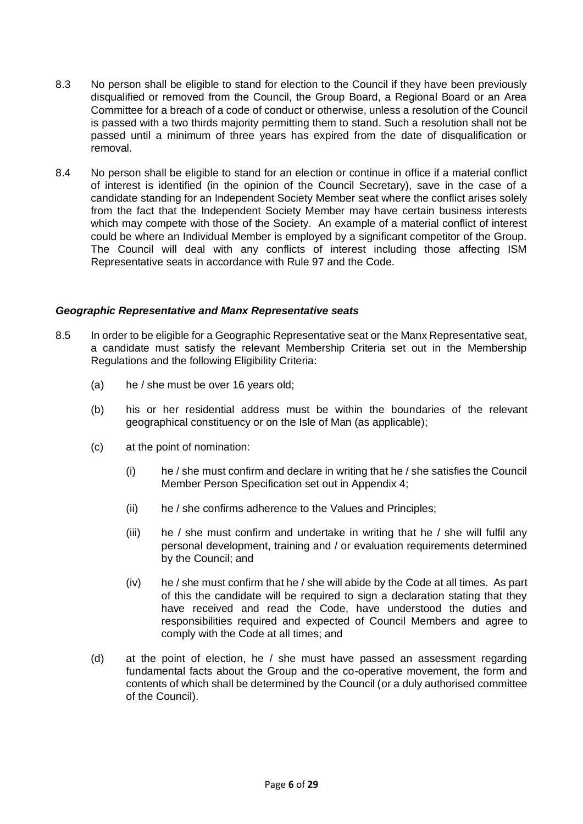- 8.3 No person shall be eligible to stand for election to the Council if they have been previously disqualified or removed from the Council, the Group Board, a Regional Board or an Area Committee for a breach of a code of conduct or otherwise, unless a resolution of the Council is passed with a two thirds majority permitting them to stand. Such a resolution shall not be passed until a minimum of three years has expired from the date of disqualification or removal.
- 8.4 No person shall be eligible to stand for an election or continue in office if a material conflict of interest is identified (in the opinion of the Council Secretary), save in the case of a candidate standing for an Independent Society Member seat where the conflict arises solely from the fact that the Independent Society Member may have certain business interests which may compete with those of the Society. An example of a material conflict of interest could be where an Individual Member is employed by a significant competitor of the Group. The Council will deal with any conflicts of interest including those affecting ISM Representative seats in accordance with Rule 97 and the Code.

#### *Geographic Representative and Manx Representative seats*

- 8.5 In order to be eligible for a Geographic Representative seat or the Manx Representative seat, a candidate must satisfy the relevant Membership Criteria set out in the Membership Regulations and the following Eligibility Criteria:
	- (a) he / she must be over 16 years old;
	- (b) his or her residential address must be within the boundaries of the relevant geographical constituency or on the Isle of Man (as applicable);
	- (c) at the point of nomination:
		- (i) he / she must confirm and declare in writing that he / she satisfies the Council Member Person Specification set out in Appendix 4;
		- (ii) he / she confirms adherence to the Values and Principles;
		- (iii) he / she must confirm and undertake in writing that he / she will fulfil any personal development, training and / or evaluation requirements determined by the Council; and
		- (iv) he / she must confirm that he / she will abide by the Code at all times. As part of this the candidate will be required to sign a declaration stating that they have received and read the Code, have understood the duties and responsibilities required and expected of Council Members and agree to comply with the Code at all times; and
	- (d) at the point of election, he / she must have passed an assessment regarding fundamental facts about the Group and the co-operative movement, the form and contents of which shall be determined by the Council (or a duly authorised committee of the Council).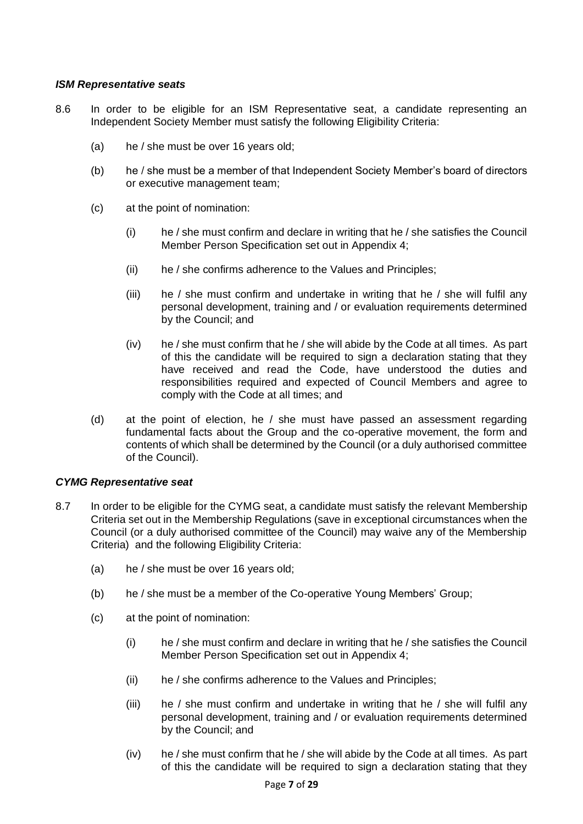#### *ISM Representative seats*

- 8.6 In order to be eligible for an ISM Representative seat, a candidate representing an Independent Society Member must satisfy the following Eligibility Criteria:
	- (a) he / she must be over 16 years old;
	- (b) he / she must be a member of that Independent Society Member's board of directors or executive management team;
	- (c) at the point of nomination:
		- (i) he / she must confirm and declare in writing that he / she satisfies the Council Member Person Specification set out in Appendix 4;
		- (ii) he / she confirms adherence to the Values and Principles;
		- (iii) he / she must confirm and undertake in writing that he / she will fulfil any personal development, training and / or evaluation requirements determined by the Council; and
		- (iv) he / she must confirm that he / she will abide by the Code at all times. As part of this the candidate will be required to sign a declaration stating that they have received and read the Code, have understood the duties and responsibilities required and expected of Council Members and agree to comply with the Code at all times; and
	- (d) at the point of election, he / she must have passed an assessment regarding fundamental facts about the Group and the co-operative movement, the form and contents of which shall be determined by the Council (or a duly authorised committee of the Council).

#### *CYMG Representative seat*

- 8.7 In order to be eligible for the CYMG seat, a candidate must satisfy the relevant Membership Criteria set out in the Membership Regulations (save in exceptional circumstances when the Council (or a duly authorised committee of the Council) may waive any of the Membership Criteria) and the following Eligibility Criteria:
	- (a) he / she must be over 16 years old;
	- (b) he / she must be a member of the Co-operative Young Members' Group;
	- (c) at the point of nomination:
		- (i) he / she must confirm and declare in writing that he / she satisfies the Council Member Person Specification set out in Appendix 4;
		- (ii) he / she confirms adherence to the Values and Principles;
		- (iii) he / she must confirm and undertake in writing that he / she will fulfil any personal development, training and / or evaluation requirements determined by the Council; and
		- (iv) he / she must confirm that he / she will abide by the Code at all times. As part of this the candidate will be required to sign a declaration stating that they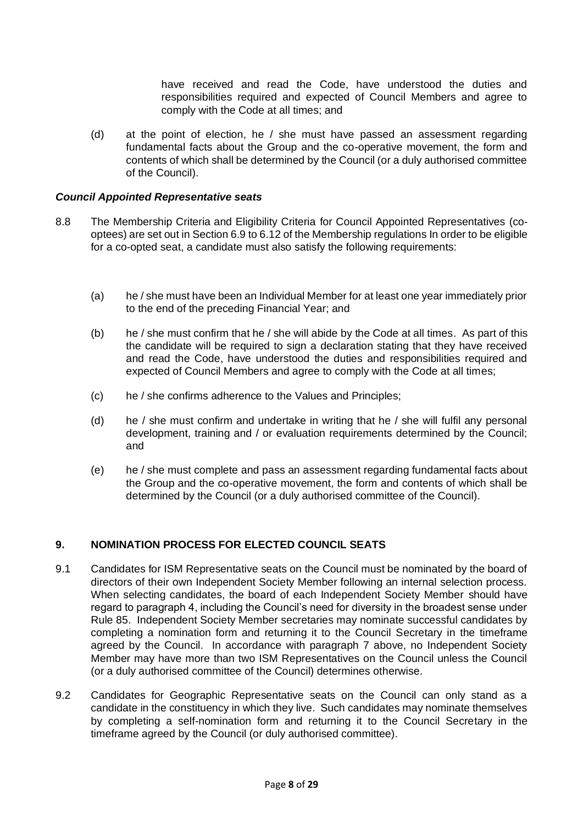have received and read the Code, have understood the duties and responsibilities required and expected of Council Members and agree to comply with the Code at all times; and

(d) at the point of election, he / she must have passed an assessment regarding fundamental facts about the Group and the co-operative movement, the form and contents of which shall be determined by the Council (or a duly authorised committee of the Council).

#### *Council Appointed Representative seats*

- 8.8 The Membership Criteria and Eligibility Criteria for Council Appointed Representatives (cooptees) are set out in Section 6.9 to 6.12 of the Membership regulations In order to be eligible for a co-opted seat, a candidate must also satisfy the following requirements:
	- (a) he / she must have been an Individual Member for at least one year immediately prior to the end of the preceding Financial Year; and
	- (b) he / she must confirm that he / she will abide by the Code at all times. As part of this the candidate will be required to sign a declaration stating that they have received and read the Code, have understood the duties and responsibilities required and expected of Council Members and agree to comply with the Code at all times;
	- (c) he / she confirms adherence to the Values and Principles;
	- (d) he / she must confirm and undertake in writing that he / she will fulfil any personal development, training and / or evaluation requirements determined by the Council; and
	- (e) he / she must complete and pass an assessment regarding fundamental facts about the Group and the co-operative movement, the form and contents of which shall be determined by the Council (or a duly authorised committee of the Council).

### **9. NOMINATION PROCESS FOR ELECTED COUNCIL SEATS**

- 9.1 Candidates for ISM Representative seats on the Council must be nominated by the board of directors of their own Independent Society Member following an internal selection process. When selecting candidates, the board of each Independent Society Member should have regard to paragraph 4, including the Council's need for diversity in the broadest sense under Rule 85. Independent Society Member secretaries may nominate successful candidates by completing a nomination form and returning it to the Council Secretary in the timeframe agreed by the Council. In accordance with paragraph 7 above, no Independent Society Member may have more than two ISM Representatives on the Council unless the Council (or a duly authorised committee of the Council) determines otherwise.
- 9.2 Candidates for Geographic Representative seats on the Council can only stand as a candidate in the constituency in which they live. Such candidates may nominate themselves by completing a self-nomination form and returning it to the Council Secretary in the timeframe agreed by the Council (or duly authorised committee).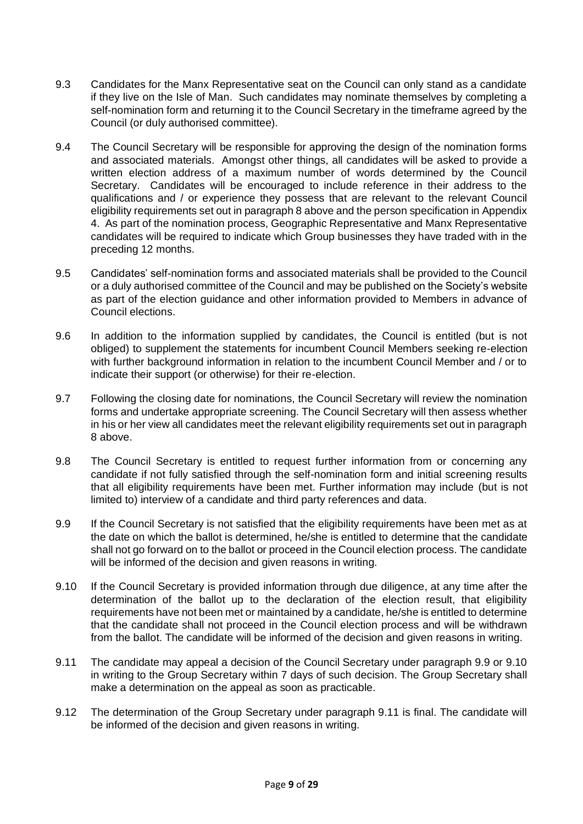- 9.3 Candidates for the Manx Representative seat on the Council can only stand as a candidate if they live on the Isle of Man. Such candidates may nominate themselves by completing a self-nomination form and returning it to the Council Secretary in the timeframe agreed by the Council (or duly authorised committee).
- 9.4 The Council Secretary will be responsible for approving the design of the nomination forms and associated materials. Amongst other things, all candidates will be asked to provide a written election address of a maximum number of words determined by the Council Secretary. Candidates will be encouraged to include reference in their address to the qualifications and / or experience they possess that are relevant to the relevant Council eligibility requirements set out in paragraph 8 above and the person specification in Appendix 4. As part of the nomination process, Geographic Representative and Manx Representative candidates will be required to indicate which Group businesses they have traded with in the preceding 12 months.
- 9.5 Candidates' self-nomination forms and associated materials shall be provided to the Council or a duly authorised committee of the Council and may be published on the Society's website as part of the election guidance and other information provided to Members in advance of Council elections.
- 9.6 In addition to the information supplied by candidates, the Council is entitled (but is not obliged) to supplement the statements for incumbent Council Members seeking re-election with further background information in relation to the incumbent Council Member and / or to indicate their support (or otherwise) for their re-election.
- 9.7 Following the closing date for nominations, the Council Secretary will review the nomination forms and undertake appropriate screening. The Council Secretary will then assess whether in his or her view all candidates meet the relevant eligibility requirements set out in paragraph 8 above.
- 9.8 The Council Secretary is entitled to request further information from or concerning any candidate if not fully satisfied through the self-nomination form and initial screening results that all eligibility requirements have been met. Further information may include (but is not limited to) interview of a candidate and third party references and data.
- 9.9 If the Council Secretary is not satisfied that the eligibility requirements have been met as at the date on which the ballot is determined, he/she is entitled to determine that the candidate shall not go forward on to the ballot or proceed in the Council election process. The candidate will be informed of the decision and given reasons in writing.
- 9.10 If the Council Secretary is provided information through due diligence, at any time after the determination of the ballot up to the declaration of the election result, that eligibility requirements have not been met or maintained by a candidate, he/she is entitled to determine that the candidate shall not proceed in the Council election process and will be withdrawn from the ballot. The candidate will be informed of the decision and given reasons in writing.
- 9.11 The candidate may appeal a decision of the Council Secretary under paragraph 9.9 or 9.10 in writing to the Group Secretary within 7 days of such decision. The Group Secretary shall make a determination on the appeal as soon as practicable.
- 9.12 The determination of the Group Secretary under paragraph 9.11 is final. The candidate will be informed of the decision and given reasons in writing.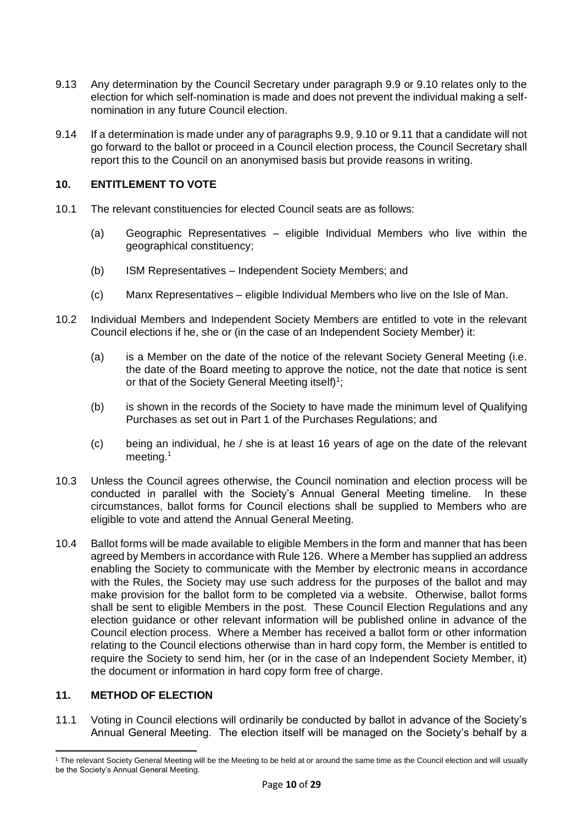- 9.13 Any determination by the Council Secretary under paragraph 9.9 or 9.10 relates only to the election for which self-nomination is made and does not prevent the individual making a selfnomination in any future Council election.
- 9.14 If a determination is made under any of paragraphs 9.9, 9.10 or 9.11 that a candidate will not go forward to the ballot or proceed in a Council election process, the Council Secretary shall report this to the Council on an anonymised basis but provide reasons in writing.

### **10. ENTITLEMENT TO VOTE**

- 10.1 The relevant constituencies for elected Council seats are as follows:
	- (a) Geographic Representatives eligible Individual Members who live within the geographical constituency;
	- (b) ISM Representatives Independent Society Members; and
	- (c) Manx Representatives eligible Individual Members who live on the Isle of Man.
- 10.2 Individual Members and Independent Society Members are entitled to vote in the relevant Council elections if he, she or (in the case of an Independent Society Member) it:
	- (a) is a Member on the date of the notice of the relevant Society General Meeting (i.e. the date of the Board meeting to approve the notice, not the date that notice is sent or that of the Society General Meeting itself)<sup>1</sup>;
	- (b) is shown in the records of the Society to have made the minimum level of Qualifying Purchases as set out in Part 1 of the Purchases Regulations; and
	- (c) being an individual, he / she is at least 16 years of age on the date of the relevant meeting.<sup>1</sup>
- 10.3 Unless the Council agrees otherwise, the Council nomination and election process will be conducted in parallel with the Society's Annual General Meeting timeline. In these circumstances, ballot forms for Council elections shall be supplied to Members who are eligible to vote and attend the Annual General Meeting.
- 10.4 Ballot forms will be made available to eligible Members in the form and manner that has been agreed by Members in accordance with Rule 126. Where a Member has supplied an address enabling the Society to communicate with the Member by electronic means in accordance with the Rules, the Society may use such address for the purposes of the ballot and may make provision for the ballot form to be completed via a website. Otherwise, ballot forms shall be sent to eligible Members in the post. These Council Election Regulations and any election guidance or other relevant information will be published online in advance of the Council election process. Where a Member has received a ballot form or other information relating to the Council elections otherwise than in hard copy form, the Member is entitled to require the Society to send him, her (or in the case of an Independent Society Member, it) the document or information in hard copy form free of charge.

### **11. METHOD OF ELECTION**

11.1 Voting in Council elections will ordinarily be conducted by ballot in advance of the Society's Annual General Meeting. The election itself will be managed on the Society's behalf by a

<sup>1</sup> The relevant Society General Meeting will be the Meeting to be held at or around the same time as the Council election and will usually be the Society's Annual General Meeting.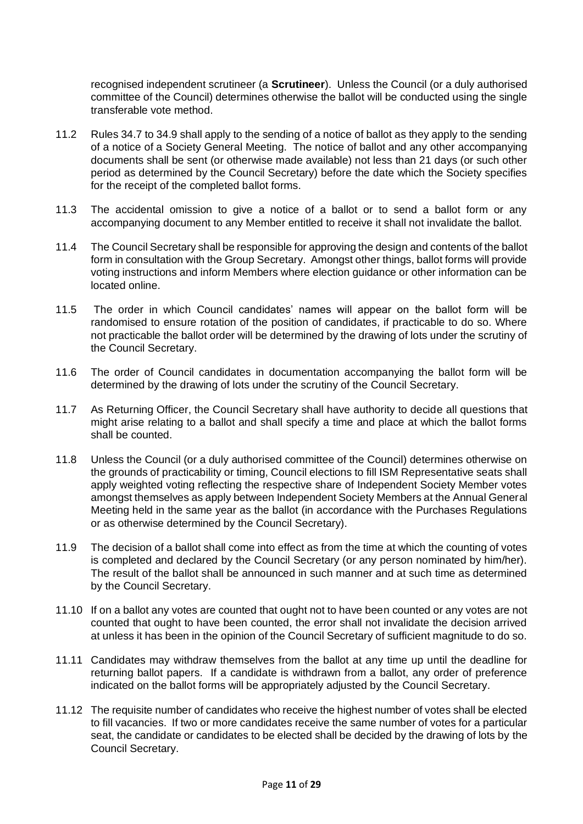recognised independent scrutineer (a **Scrutineer**). Unless the Council (or a duly authorised committee of the Council) determines otherwise the ballot will be conducted using the single transferable vote method.

- 11.2 Rules 34.7 to 34.9 shall apply to the sending of a notice of ballot as they apply to the sending of a notice of a Society General Meeting. The notice of ballot and any other accompanying documents shall be sent (or otherwise made available) not less than 21 days (or such other period as determined by the Council Secretary) before the date which the Society specifies for the receipt of the completed ballot forms.
- 11.3 The accidental omission to give a notice of a ballot or to send a ballot form or any accompanying document to any Member entitled to receive it shall not invalidate the ballot.
- 11.4 The Council Secretary shall be responsible for approving the design and contents of the ballot form in consultation with the Group Secretary. Amongst other things, ballot forms will provide voting instructions and inform Members where election guidance or other information can be located online.
- 11.5 The order in which Council candidates' names will appear on the ballot form will be randomised to ensure rotation of the position of candidates, if practicable to do so. Where not practicable the ballot order will be determined by the drawing of lots under the scrutiny of the Council Secretary.
- 11.6 The order of Council candidates in documentation accompanying the ballot form will be determined by the drawing of lots under the scrutiny of the Council Secretary.
- 11.7 As Returning Officer, the Council Secretary shall have authority to decide all questions that might arise relating to a ballot and shall specify a time and place at which the ballot forms shall be counted.
- 11.8 Unless the Council (or a duly authorised committee of the Council) determines otherwise on the grounds of practicability or timing, Council elections to fill ISM Representative seats shall apply weighted voting reflecting the respective share of Independent Society Member votes amongst themselves as apply between Independent Society Members at the Annual General Meeting held in the same year as the ballot (in accordance with the Purchases Regulations or as otherwise determined by the Council Secretary).
- 11.9 The decision of a ballot shall come into effect as from the time at which the counting of votes is completed and declared by the Council Secretary (or any person nominated by him/her). The result of the ballot shall be announced in such manner and at such time as determined by the Council Secretary.
- 11.10 If on a ballot any votes are counted that ought not to have been counted or any votes are not counted that ought to have been counted, the error shall not invalidate the decision arrived at unless it has been in the opinion of the Council Secretary of sufficient magnitude to do so.
- 11.11 Candidates may withdraw themselves from the ballot at any time up until the deadline for returning ballot papers. If a candidate is withdrawn from a ballot, any order of preference indicated on the ballot forms will be appropriately adjusted by the Council Secretary.
- 11.12 The requisite number of candidates who receive the highest number of votes shall be elected to fill vacancies. If two or more candidates receive the same number of votes for a particular seat, the candidate or candidates to be elected shall be decided by the drawing of lots by the Council Secretary.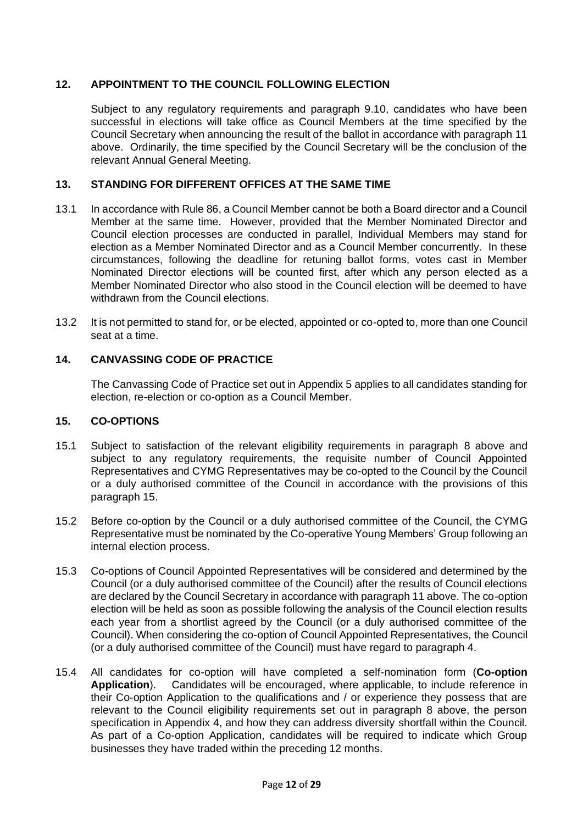### **12. APPOINTMENT TO THE COUNCIL FOLLOWING ELECTION**

Subject to any regulatory requirements and paragraph 9.10, candidates who have been successful in elections will take office as Council Members at the time specified by the Council Secretary when announcing the result of the ballot in accordance with paragraph 11 above. Ordinarily, the time specified by the Council Secretary will be the conclusion of the relevant Annual General Meeting.

### **13. STANDING FOR DIFFERENT OFFICES AT THE SAME TIME**

- 13.1 In accordance with Rule 86, a Council Member cannot be both a Board director and a Council Member at the same time. However, provided that the Member Nominated Director and Council election processes are conducted in parallel, Individual Members may stand for election as a Member Nominated Director and as a Council Member concurrently. In these circumstances, following the deadline for retuning ballot forms, votes cast in Member Nominated Director elections will be counted first, after which any person elected as a Member Nominated Director who also stood in the Council election will be deemed to have withdrawn from the Council elections.
- 13.2 It is not permitted to stand for, or be elected, appointed or co-opted to, more than one Council seat at a time.

## **14. CANVASSING CODE OF PRACTICE**

The Canvassing Code of Practice set out in Appendix 5 applies to all candidates standing for election, re-election or co-option as a Council Member.

### **15. CO-OPTIONS**

- 15.1 Subject to satisfaction of the relevant eligibility requirements in paragraph 8 above and subject to any regulatory requirements, the requisite number of Council Appointed Representatives and CYMG Representatives may be co-opted to the Council by the Council or a duly authorised committee of the Council in accordance with the provisions of this paragraph 15.
- 15.2 Before co-option by the Council or a duly authorised committee of the Council, the CYMG Representative must be nominated by the Co-operative Young Members' Group following an internal election process.
- 15.3 Co-options of Council Appointed Representatives will be considered and determined by the Council (or a duly authorised committee of the Council) after the results of Council elections are declared by the Council Secretary in accordance with paragraph 11 above. The co-option election will be held as soon as possible following the analysis of the Council election results each year from a shortlist agreed by the Council (or a duly authorised committee of the Council). When considering the co-option of Council Appointed Representatives, the Council (or a duly authorised committee of the Council) must have regard to paragraph 4.
- 15.4 All candidates for co-option will have completed a self-nomination form (**Co-option Application**). Candidates will be encouraged, where applicable, to include reference in their Co-option Application to the qualifications and / or experience they possess that are relevant to the Council eligibility requirements set out in paragraph 8 above, the person specification in Appendix 4, and how they can address diversity shortfall within the Council. As part of a Co-option Application, candidates will be required to indicate which Group businesses they have traded within the preceding 12 months.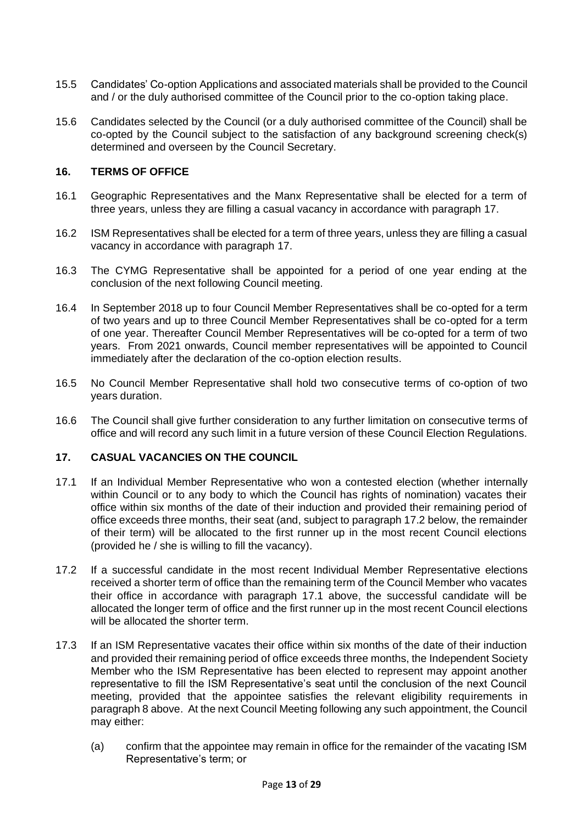- 15.5 Candidates' Co-option Applications and associated materials shall be provided to the Council and / or the duly authorised committee of the Council prior to the co-option taking place.
- 15.6 Candidates selected by the Council (or a duly authorised committee of the Council) shall be co-opted by the Council subject to the satisfaction of any background screening check(s) determined and overseen by the Council Secretary.

#### **16. TERMS OF OFFICE**

- 16.1 Geographic Representatives and the Manx Representative shall be elected for a term of three years, unless they are filling a casual vacancy in accordance with paragraph 17.
- 16.2 ISM Representatives shall be elected for a term of three years, unless they are filling a casual vacancy in accordance with paragraph 17.
- 16.3 The CYMG Representative shall be appointed for a period of one year ending at the conclusion of the next following Council meeting.
- 16.4 In September 2018 up to four Council Member Representatives shall be co-opted for a term of two years and up to three Council Member Representatives shall be co-opted for a term of one year. Thereafter Council Member Representatives will be co-opted for a term of two years. From 2021 onwards, Council member representatives will be appointed to Council immediately after the declaration of the co-option election results.
- 16.5 No Council Member Representative shall hold two consecutive terms of co-option of two years duration.
- 16.6 The Council shall give further consideration to any further limitation on consecutive terms of office and will record any such limit in a future version of these Council Election Regulations.

#### **17. CASUAL VACANCIES ON THE COUNCIL**

- 17.1 If an Individual Member Representative who won a contested election (whether internally within Council or to any body to which the Council has rights of nomination) vacates their office within six months of the date of their induction and provided their remaining period of office exceeds three months, their seat (and, subject to paragraph 17.2 below, the remainder of their term) will be allocated to the first runner up in the most recent Council elections (provided he / she is willing to fill the vacancy).
- 17.2 If a successful candidate in the most recent Individual Member Representative elections received a shorter term of office than the remaining term of the Council Member who vacates their office in accordance with paragraph 17.1 above, the successful candidate will be allocated the longer term of office and the first runner up in the most recent Council elections will be allocated the shorter term.
- 17.3 If an ISM Representative vacates their office within six months of the date of their induction and provided their remaining period of office exceeds three months, the Independent Society Member who the ISM Representative has been elected to represent may appoint another representative to fill the ISM Representative's seat until the conclusion of the next Council meeting, provided that the appointee satisfies the relevant eligibility requirements in paragraph 8 above. At the next Council Meeting following any such appointment, the Council may either:
	- (a) confirm that the appointee may remain in office for the remainder of the vacating ISM Representative's term; or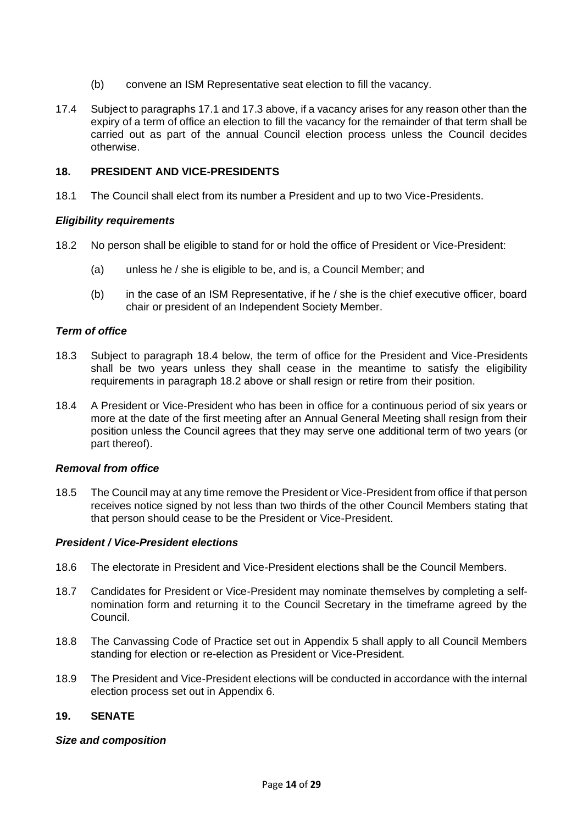- (b) convene an ISM Representative seat election to fill the vacancy.
- 17.4 Subject to paragraphs 17.1 and 17.3 above, if a vacancy arises for any reason other than the expiry of a term of office an election to fill the vacancy for the remainder of that term shall be carried out as part of the annual Council election process unless the Council decides otherwise.

#### **18. PRESIDENT AND VICE-PRESIDENTS**

18.1 The Council shall elect from its number a President and up to two Vice-Presidents.

#### *Eligibility requirements*

- 18.2 No person shall be eligible to stand for or hold the office of President or Vice-President:
	- (a) unless he / she is eligible to be, and is, a Council Member; and
	- (b) in the case of an ISM Representative, if he / she is the chief executive officer, board chair or president of an Independent Society Member.

#### *Term of office*

- 18.3 Subject to paragraph 18.4 below, the term of office for the President and Vice-Presidents shall be two years unless they shall cease in the meantime to satisfy the eligibility requirements in paragraph 18.2 above or shall resign or retire from their position.
- 18.4 A President or Vice-President who has been in office for a continuous period of six years or more at the date of the first meeting after an Annual General Meeting shall resign from their position unless the Council agrees that they may serve one additional term of two years (or part thereof).

#### *Removal from office*

18.5 The Council may at any time remove the President or Vice-President from office if that person receives notice signed by not less than two thirds of the other Council Members stating that that person should cease to be the President or Vice-President.

#### *President / Vice-President elections*

- 18.6 The electorate in President and Vice-President elections shall be the Council Members.
- 18.7 Candidates for President or Vice-President may nominate themselves by completing a selfnomination form and returning it to the Council Secretary in the timeframe agreed by the Council.
- 18.8 The Canvassing Code of Practice set out in Appendix 5 shall apply to all Council Members standing for election or re-election as President or Vice-President.
- 18.9 The President and Vice-President elections will be conducted in accordance with the internal election process set out in Appendix 6.

### **19. SENATE**

#### *Size and composition*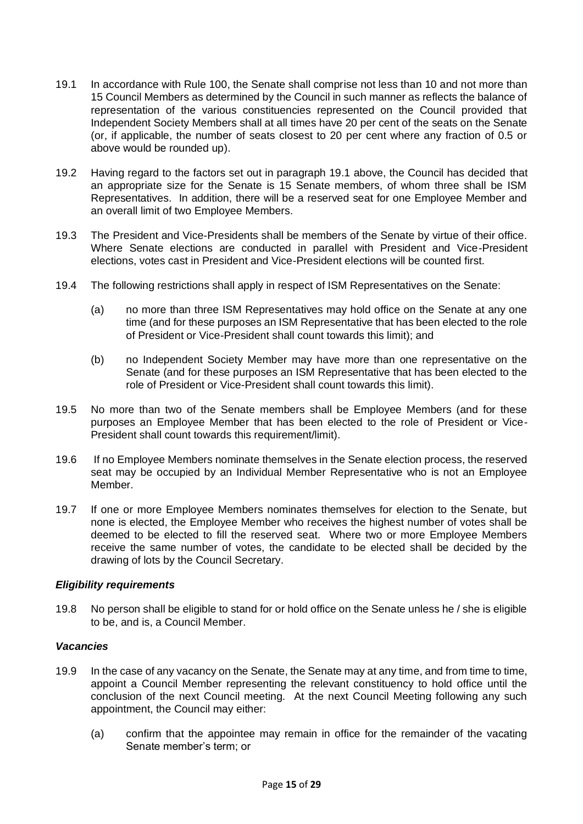- 19.1 In accordance with Rule 100, the Senate shall comprise not less than 10 and not more than 15 Council Members as determined by the Council in such manner as reflects the balance of representation of the various constituencies represented on the Council provided that Independent Society Members shall at all times have 20 per cent of the seats on the Senate (or, if applicable, the number of seats closest to 20 per cent where any fraction of 0.5 or above would be rounded up).
- 19.2 Having regard to the factors set out in paragraph 19.1 above, the Council has decided that an appropriate size for the Senate is 15 Senate members, of whom three shall be ISM Representatives. In addition, there will be a reserved seat for one Employee Member and an overall limit of two Employee Members.
- 19.3 The President and Vice-Presidents shall be members of the Senate by virtue of their office. Where Senate elections are conducted in parallel with President and Vice-President elections, votes cast in President and Vice-President elections will be counted first.
- 19.4 The following restrictions shall apply in respect of ISM Representatives on the Senate:
	- (a) no more than three ISM Representatives may hold office on the Senate at any one time (and for these purposes an ISM Representative that has been elected to the role of President or Vice-President shall count towards this limit); and
	- (b) no Independent Society Member may have more than one representative on the Senate (and for these purposes an ISM Representative that has been elected to the role of President or Vice-President shall count towards this limit).
- 19.5 No more than two of the Senate members shall be Employee Members (and for these purposes an Employee Member that has been elected to the role of President or Vice-President shall count towards this requirement/limit).
- 19.6 If no Employee Members nominate themselves in the Senate election process, the reserved seat may be occupied by an Individual Member Representative who is not an Employee Member.
- 19.7 If one or more Employee Members nominates themselves for election to the Senate, but none is elected, the Employee Member who receives the highest number of votes shall be deemed to be elected to fill the reserved seat. Where two or more Employee Members receive the same number of votes, the candidate to be elected shall be decided by the drawing of lots by the Council Secretary.

### *Eligibility requirements*

19.8 No person shall be eligible to stand for or hold office on the Senate unless he / she is eligible to be, and is, a Council Member.

### *Vacancies*

- 19.9 In the case of any vacancy on the Senate, the Senate may at any time, and from time to time, appoint a Council Member representing the relevant constituency to hold office until the conclusion of the next Council meeting. At the next Council Meeting following any such appointment, the Council may either:
	- (a) confirm that the appointee may remain in office for the remainder of the vacating Senate member's term; or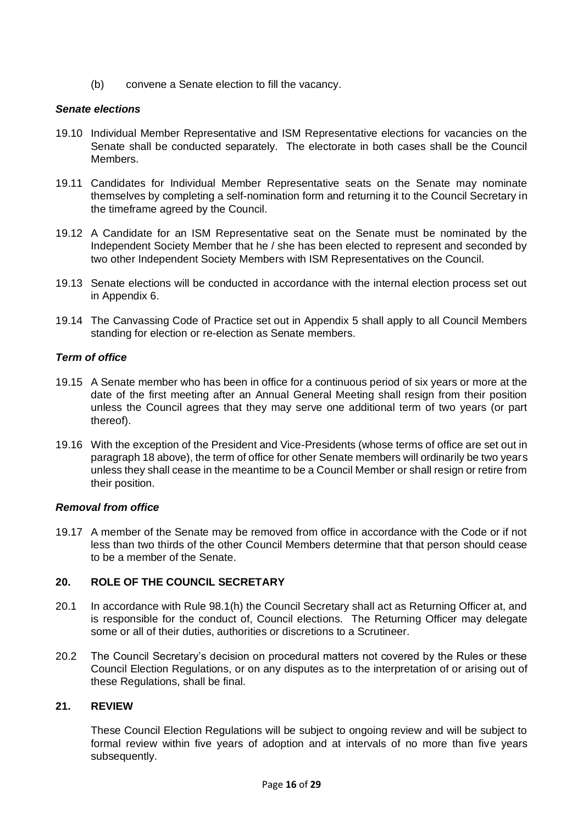(b) convene a Senate election to fill the vacancy.

#### *Senate elections*

- 19.10 Individual Member Representative and ISM Representative elections for vacancies on the Senate shall be conducted separately. The electorate in both cases shall be the Council Members.
- 19.11 Candidates for Individual Member Representative seats on the Senate may nominate themselves by completing a self-nomination form and returning it to the Council Secretary in the timeframe agreed by the Council.
- 19.12 A Candidate for an ISM Representative seat on the Senate must be nominated by the Independent Society Member that he / she has been elected to represent and seconded by two other Independent Society Members with ISM Representatives on the Council.
- 19.13 Senate elections will be conducted in accordance with the internal election process set out in Appendix 6.
- 19.14 The Canvassing Code of Practice set out in Appendix 5 shall apply to all Council Members standing for election or re-election as Senate members.

### *Term of office*

- 19.15 A Senate member who has been in office for a continuous period of six years or more at the date of the first meeting after an Annual General Meeting shall resign from their position unless the Council agrees that they may serve one additional term of two years (or part thereof).
- 19.16 With the exception of the President and Vice-Presidents (whose terms of office are set out in paragraph 18 above), the term of office for other Senate members will ordinarily be two years unless they shall cease in the meantime to be a Council Member or shall resign or retire from their position.

#### *Removal from office*

19.17 A member of the Senate may be removed from office in accordance with the Code or if not less than two thirds of the other Council Members determine that that person should cease to be a member of the Senate.

### **20. ROLE OF THE COUNCIL SECRETARY**

- 20.1 In accordance with Rule 98.1(h) the Council Secretary shall act as Returning Officer at, and is responsible for the conduct of, Council elections. The Returning Officer may delegate some or all of their duties, authorities or discretions to a Scrutineer.
- 20.2 The Council Secretary's decision on procedural matters not covered by the Rules or these Council Election Regulations, or on any disputes as to the interpretation of or arising out of these Regulations, shall be final.

### **21. REVIEW**

These Council Election Regulations will be subject to ongoing review and will be subject to formal review within five years of adoption and at intervals of no more than five years subsequently.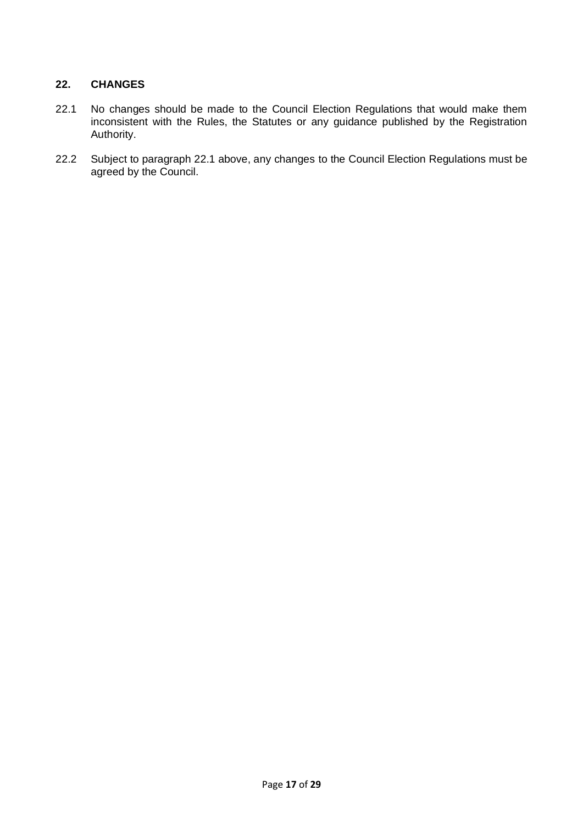### **22. CHANGES**

- 22.1 No changes should be made to the Council Election Regulations that would make them inconsistent with the Rules, the Statutes or any guidance published by the Registration Authority.
- 22.2 Subject to paragraph 22.1 above, any changes to the Council Election Regulations must be agreed by the Council.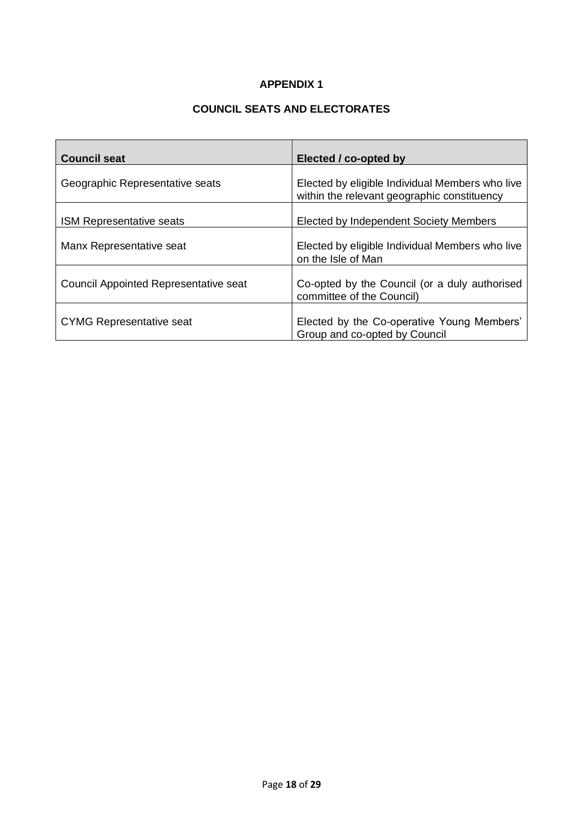### **COUNCIL SEATS AND ELECTORATES**

| <b>Council seat</b>                          | Elected / co-opted by                                                                          |
|----------------------------------------------|------------------------------------------------------------------------------------------------|
| Geographic Representative seats              | Elected by eligible Individual Members who live<br>within the relevant geographic constituency |
| <b>ISM Representative seats</b>              | Elected by Independent Society Members                                                         |
| Manx Representative seat                     | Elected by eligible Individual Members who live<br>on the Isle of Man                          |
| <b>Council Appointed Representative seat</b> | Co-opted by the Council (or a duly authorised<br>committee of the Council)                     |
| <b>CYMG Representative seat</b>              | Elected by the Co-operative Young Members'<br>Group and co-opted by Council                    |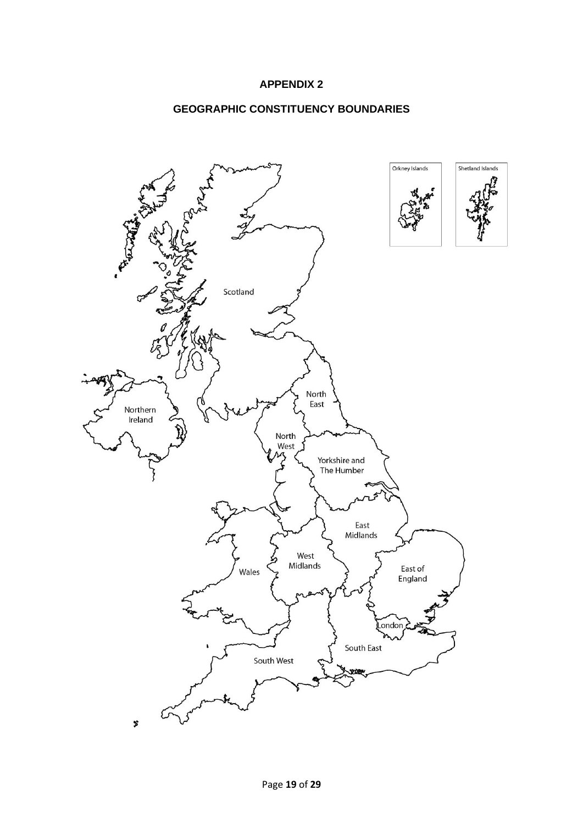### **GEOGRAPHIC CONSTITUENCY BOUNDARIES**

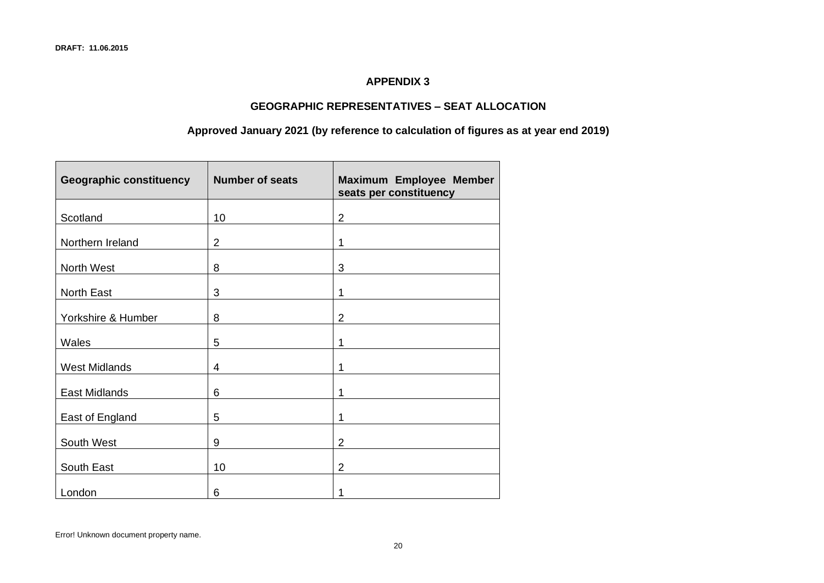### **GEOGRAPHIC REPRESENTATIVES – SEAT ALLOCATION**

### **Approved January 2021 (by reference to calculation of figures as at year end 2019)**

| <b>Geographic constituency</b> | <b>Number of seats</b> | Maximum Employee Member<br>seats per constituency |
|--------------------------------|------------------------|---------------------------------------------------|
| Scotland                       | 10                     | $\overline{2}$                                    |
| Northern Ireland               | $\overline{2}$         | 1                                                 |
| North West                     | 8                      | 3                                                 |
| North East                     | 3                      | 1                                                 |
| Yorkshire & Humber             | 8                      | $\overline{2}$                                    |
| <b>Wales</b>                   | 5                      | 1                                                 |
| <b>West Midlands</b>           | 4                      | 1                                                 |
| East Midlands                  | 6                      | 1                                                 |
| East of England                | 5                      | 1                                                 |
| South West                     | 9                      | $\overline{2}$                                    |
| South East                     | 10                     | $\overline{2}$                                    |
| London                         | 6                      |                                                   |

Error! Unknown document property name.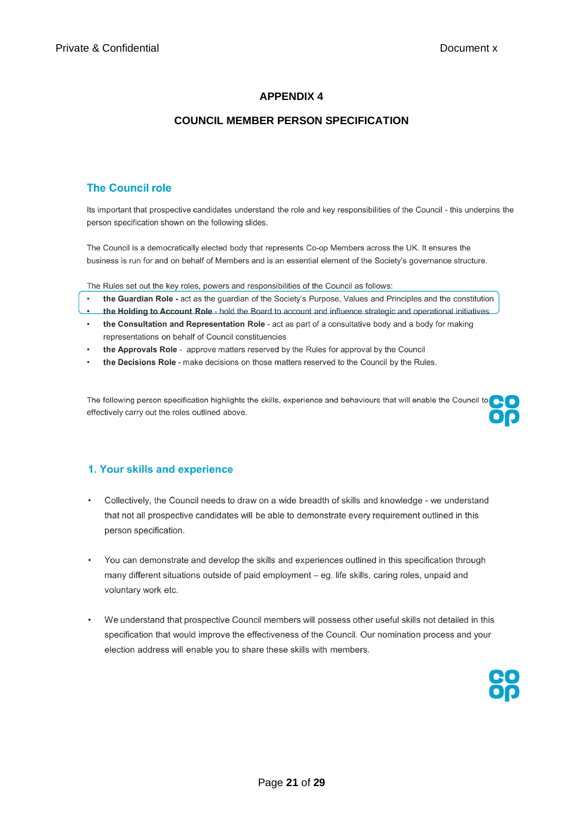### **COUNCIL MEMBER PERSON SPECIFICATION**

### **The Council role**

Its important that prospective candidates understand the role and key responsibilities of the Council - this underpins the person specification shown on the following slides.

The Council is a democratically elected body that represents Co-op Members across the UK. It ensures the business is run for and on behalf of Members and is an essential element of the Society's governance structure.

The Rules set out the key roles, powers and responsibilities of the Council as follows:

- the Guardian Role act as the guardian of the Society's Purpose, Values and Principles and the constitution
- the Holding to Account Role hold the Board to account and influence strategic and operational initiatives
- the Consultation and Representation Role act as part of a consultative body and a body for making representations on behalf of Council constituencies
- the Approvals Role approve matters reserved by the Rules for approval by the Council
- the Decisions Role make decisions on those matters reserved to the Council by the Rules.

The following person specification highlights the skills, experience and behaviours that will enable the Council to  $\bigcap$ effectively carry out the roles outlined above.

### 1. Your skills and experience

- Collectively, the Council needs to draw on a wide breadth of skills and knowledge we understand that not all prospective candidates will be able to demonstrate every requirement outlined in this person specification.
- $\ddot{\phantom{0}}$ You can demonstrate and develop the skills and experiences outlined in this specification through many different situations outside of paid employment - eg. life skills, caring roles, unpaid and voluntary work etc.
- We understand that prospective Council members will possess other useful skills not detailed in this specification that would improve the effectiveness of the Council. Our nomination process and your election address will enable you to share these skills with members.

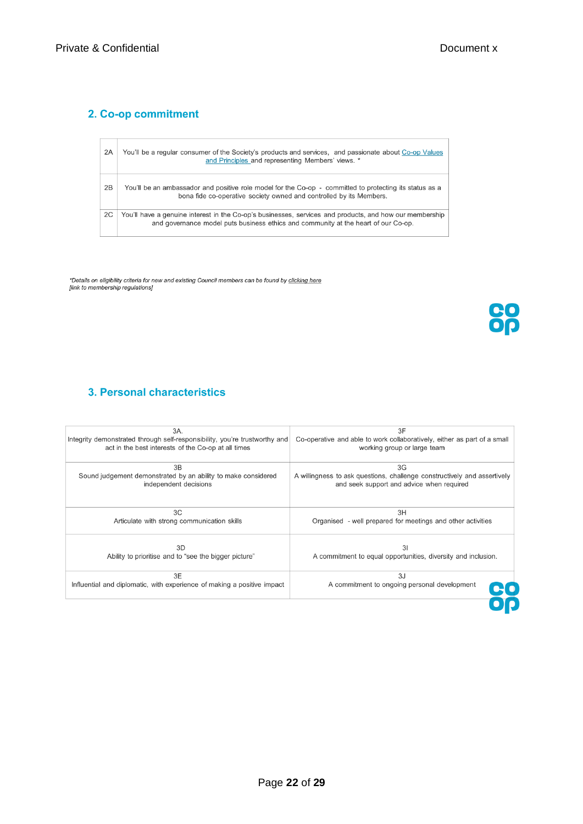### 2. Co-op commitment

| 2A | You'll be a regular consumer of the Society's products and services, and passionate about Co-op Values<br>and Principles and representing Members' views. *                                   |
|----|-----------------------------------------------------------------------------------------------------------------------------------------------------------------------------------------------|
| 2B | You'll be an ambassador and positive role model for the Co-op - committed to protecting its status as a<br>bona fide co-operative society owned and controlled by its Members.                |
| 2C | You'll have a genuine interest in the Co-op's businesses, services and products, and how our membership<br>and governance model puts business ethics and community at the heart of our Co-op. |

\*Details on eligibility criteria for new and existing Council members can be found by <u>clicking here</u><br>[link to membership regulations]

**CO**<br>Op

# 3. Personal characteristics

| 3A.                                                                        | 3F                                                                       |
|----------------------------------------------------------------------------|--------------------------------------------------------------------------|
| Integrity demonstrated through self-responsibility, you're trustworthy and | Co-operative and able to work collaboratively, either as part of a small |
| act in the best interests of the Co-op at all times                        | working group or large team                                              |
| 3B                                                                         | 3G                                                                       |
| Sound judgement demonstrated by an ability to make considered              | A willingness to ask questions, challenge constructively and assertively |
| independent decisions                                                      | and seek support and advice when required                                |
| 3C                                                                         | 3H                                                                       |
| Articulate with strong communication skills                                | Organised - well prepared for meetings and other activities              |
| 3D                                                                         | 31                                                                       |
| Ability to prioritise and to "see the bigger picture"                      | A commitment to equal opportunities, diversity and inclusion.            |
| 3F                                                                         | 3J                                                                       |
| Influential and diplomatic, with experience of making a positive impact    | A commitment to ongoing personal development                             |
|                                                                            |                                                                          |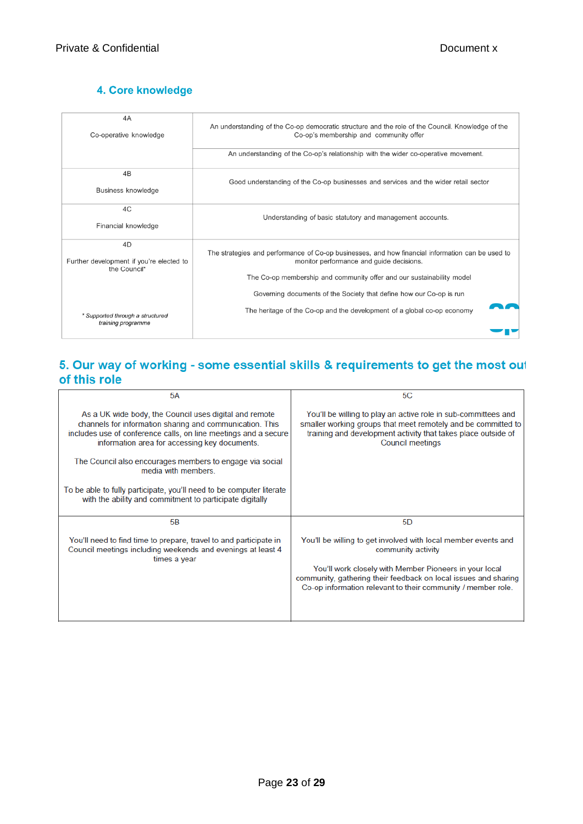# 4. Core knowledge

| 4A                                       | An understanding of the Co-op democratic structure and the role of the Council. Knowledge of the |
|------------------------------------------|--------------------------------------------------------------------------------------------------|
| Co-operative knowledge                   | Co-op's membership and community offer                                                           |
|                                          | An understanding of the Co-op's relationship with the wider co-operative movement.               |
| 4B<br>Business knowledge                 | Good understanding of the Co-op businesses and services and the wider retail sector              |
| 4C<br>Financial knowledge                | Understanding of basic statutory and management accounts.                                        |
| 4D                                       | The strategies and performance of Co-op businesses, and how financial information can be used to |
| Further development if you're elected to | monitor performance and guide decisions.                                                         |
| the Council*                             | The Co-op membership and community offer and our sustainability model                            |
| * Supported through a structured         | Governing documents of the Society that define how our Co-op is run                              |
| training programme                       | The heritage of the Co-op and the development of a global co-op economy                          |

### 5. Our way of working - some essential skills & requirements to get the most out of this role

| <b>5A</b>                                                                                                                                                                                                                              | 5C                                                                                                                                                                                                                          |
|----------------------------------------------------------------------------------------------------------------------------------------------------------------------------------------------------------------------------------------|-----------------------------------------------------------------------------------------------------------------------------------------------------------------------------------------------------------------------------|
| As a UK wide body, the Council uses digital and remote<br>channels for information sharing and communication. This<br>includes use of conference calls, on line meetings and a secure<br>information area for accessing key documents. | You'll be willing to play an active role in sub-committees and<br>smaller working groups that meet remotely and be committed to<br>training and development activity that takes place outside of<br><b>Council meetings</b> |
| The Council also encourages members to engage via social<br>media with members.                                                                                                                                                        |                                                                                                                                                                                                                             |
| To be able to fully participate, you'll need to be computer literate<br>with the ability and commitment to participate digitally                                                                                                       |                                                                                                                                                                                                                             |
| 5B                                                                                                                                                                                                                                     | 5D                                                                                                                                                                                                                          |
| You'll need to find time to prepare, travel to and participate in<br>Council meetings including weekends and evenings at least 4<br>times a year                                                                                       | You'll be willing to get involved with local member events and<br>community activity                                                                                                                                        |
|                                                                                                                                                                                                                                        | You'll work closely with Member Pioneers in your local<br>community, gathering their feedback on local issues and sharing<br>Co-op information relevant to their community / member role.                                   |
|                                                                                                                                                                                                                                        |                                                                                                                                                                                                                             |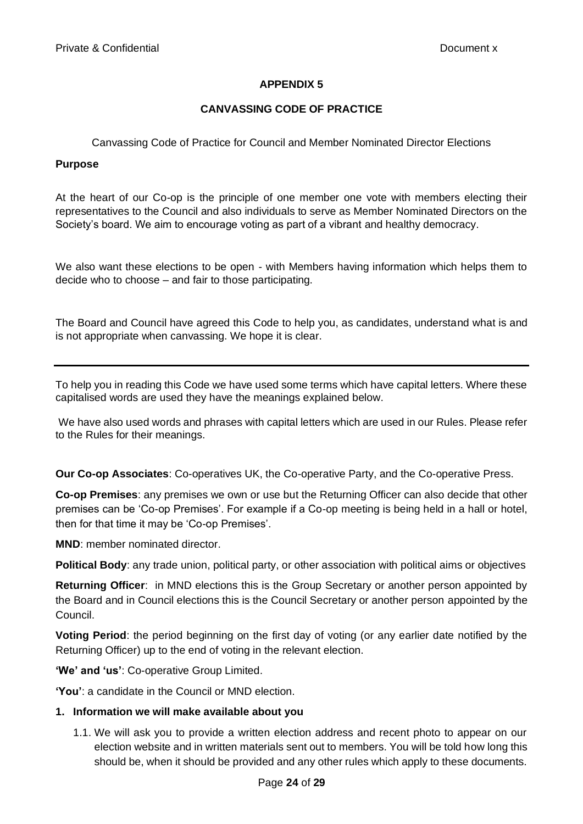### **CANVASSING CODE OF PRACTICE**

Canvassing Code of Practice for Council and Member Nominated Director Elections

#### **Purpose**

At the heart of our Co-op is the principle of one member one vote with members electing their representatives to the Council and also individuals to serve as Member Nominated Directors on the Society's board. We aim to encourage voting as part of a vibrant and healthy democracy.

We also want these elections to be open - with Members having information which helps them to decide who to choose – and fair to those participating.

The Board and Council have agreed this Code to help you, as candidates, understand what is and is not appropriate when canvassing. We hope it is clear.

To help you in reading this Code we have used some terms which have capital letters. Where these capitalised words are used they have the meanings explained below.

We have also used words and phrases with capital letters which are used in our Rules. Please refer to the Rules for their meanings.

**Our Co-op Associates**: Co-operatives UK, the Co-operative Party, and the Co-operative Press.

**Co-op Premises**: any premises we own or use but the Returning Officer can also decide that other premises can be 'Co-op Premises'. For example if a Co-op meeting is being held in a hall or hotel, then for that time it may be 'Co-op Premises'.

**MND**: member nominated director.

**Political Body**: any trade union, political party, or other association with political aims or objectives

**Returning Officer**: in MND elections this is the Group Secretary or another person appointed by the Board and in Council elections this is the Council Secretary or another person appointed by the Council.

**Voting Period**: the period beginning on the first day of voting (or any earlier date notified by the Returning Officer) up to the end of voting in the relevant election.

**'We' and 'us'**: Co-operative Group Limited.

**'You'**: a candidate in the Council or MND election.

### **1. Information we will make available about you**

1.1. We will ask you to provide a written election address and recent photo to appear on our election website and in written materials sent out to members. You will be told how long this should be, when it should be provided and any other rules which apply to these documents.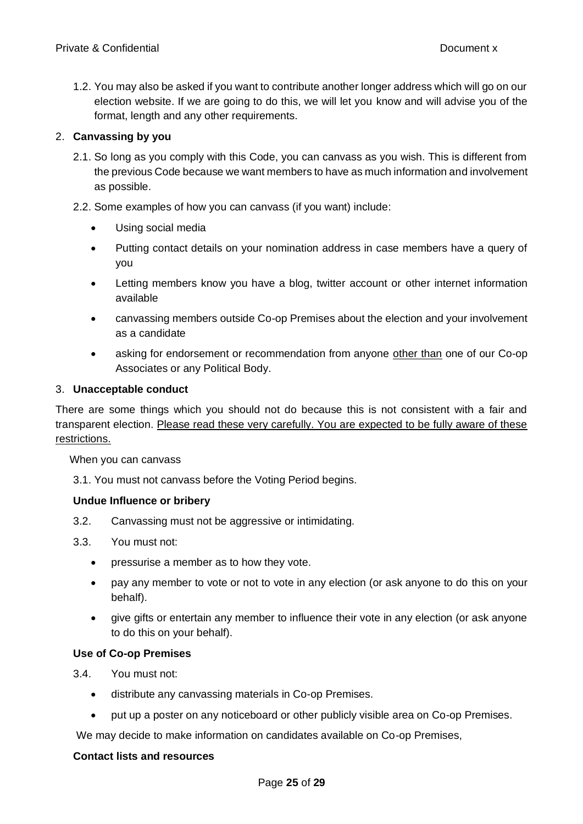1.2. You may also be asked if you want to contribute another longer address which will go on our election website. If we are going to do this, we will let you know and will advise you of the format, length and any other requirements.

### 2. **Canvassing by you**

- 2.1. So long as you comply with this Code, you can canvass as you wish. This is different from the previous Code because we want members to have as much information and involvement as possible.
- 2.2. Some examples of how you can canvass (if you want) include:
	- Using social media
	- Putting contact details on your nomination address in case members have a query of you
	- Letting members know you have a blog, twitter account or other internet information available
	- canvassing members outside Co-op Premises about the election and your involvement as a candidate
	- asking for endorsement or recommendation from anyone other than one of our Co-op Associates or any Political Body.

### 3. **Unacceptable conduct**

There are some things which you should not do because this is not consistent with a fair and transparent election. Please read these very carefully. You are expected to be fully aware of these restrictions.

When you can canvass

3.1. You must not canvass before the Voting Period begins.

### **Undue Influence or bribery**

- 3.2. Canvassing must not be aggressive or intimidating.
- 3.3. You must not:
	- pressurise a member as to how they vote.
	- pay any member to vote or not to vote in any election (or ask anyone to do this on your behalf).
	- give gifts or entertain any member to influence their vote in any election (or ask anyone to do this on your behalf).

### **Use of Co-op Premises**

3.4. You must not:

- distribute any canvassing materials in Co-op Premises.
- put up a poster on any noticeboard or other publicly visible area on Co-op Premises.

We may decide to make information on candidates available on Co-op Premises,

### **Contact lists and resources**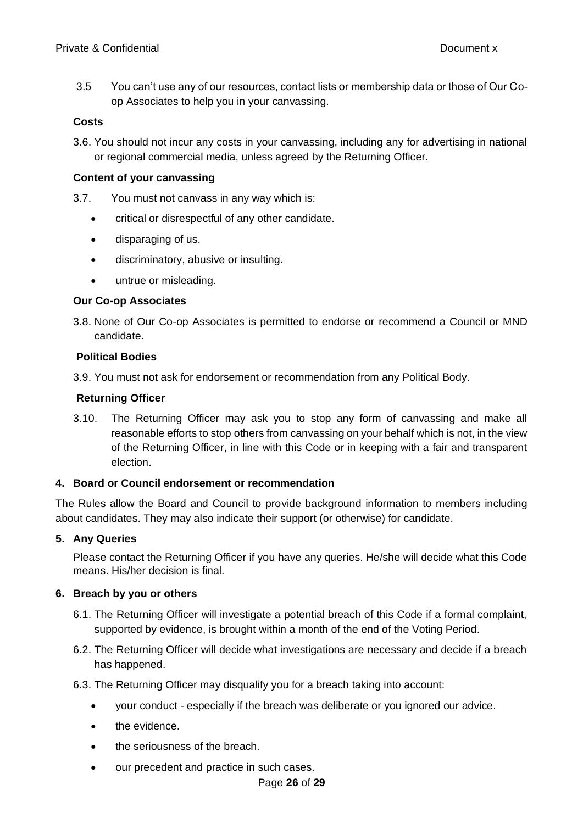3.5 You can't use any of our resources, contact lists or membership data or those of Our Coop Associates to help you in your canvassing.

### **Costs**

3.6. You should not incur any costs in your canvassing, including any for advertising in national or regional commercial media, unless agreed by the Returning Officer.

### **Content of your canvassing**

- 3.7. You must not canvass in any way which is:
	- critical or disrespectful of any other candidate.
	- disparaging of us.
	- discriminatory, abusive or insulting.
	- untrue or misleading.

### **Our Co-op Associates**

3.8. None of Our Co-op Associates is permitted to endorse or recommend a Council or MND candidate.

### **Political Bodies**

3.9. You must not ask for endorsement or recommendation from any Political Body.

### **Returning Officer**

3.10. The Returning Officer may ask you to stop any form of canvassing and make all reasonable efforts to stop others from canvassing on your behalf which is not, in the view of the Returning Officer, in line with this Code or in keeping with a fair and transparent election.

### **4. Board or Council endorsement or recommendation**

The Rules allow the Board and Council to provide background information to members including about candidates. They may also indicate their support (or otherwise) for candidate.

### **5. Any Queries**

Please contact the Returning Officer if you have any queries. He/she will decide what this Code means. His/her decision is final.

### **6. Breach by you or others**

- 6.1. The Returning Officer will investigate a potential breach of this Code if a formal complaint, supported by evidence, is brought within a month of the end of the Voting Period.
- 6.2. The Returning Officer will decide what investigations are necessary and decide if a breach has happened.
- 6.3. The Returning Officer may disqualify you for a breach taking into account:
	- your conduct especially if the breach was deliberate or you ignored our advice.
	- the evidence.
	- the seriousness of the breach.
	- our precedent and practice in such cases.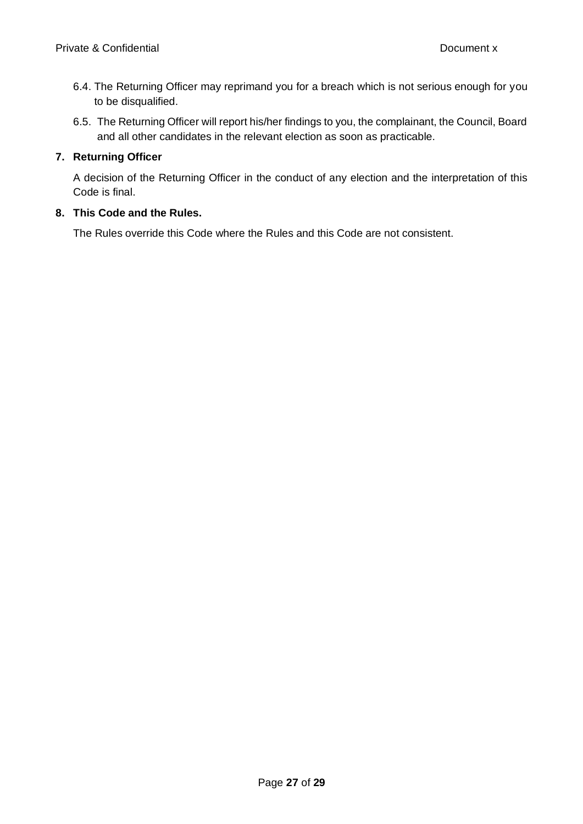- 6.4. The Returning Officer may reprimand you for a breach which is not serious enough for you to be disqualified.
- 6.5. The Returning Officer will report his/her findings to you, the complainant, the Council, Board and all other candidates in the relevant election as soon as practicable.

### **7. Returning Officer**

A decision of the Returning Officer in the conduct of any election and the interpretation of this Code is final.

### **8. This Code and the Rules.**

The Rules override this Code where the Rules and this Code are not consistent.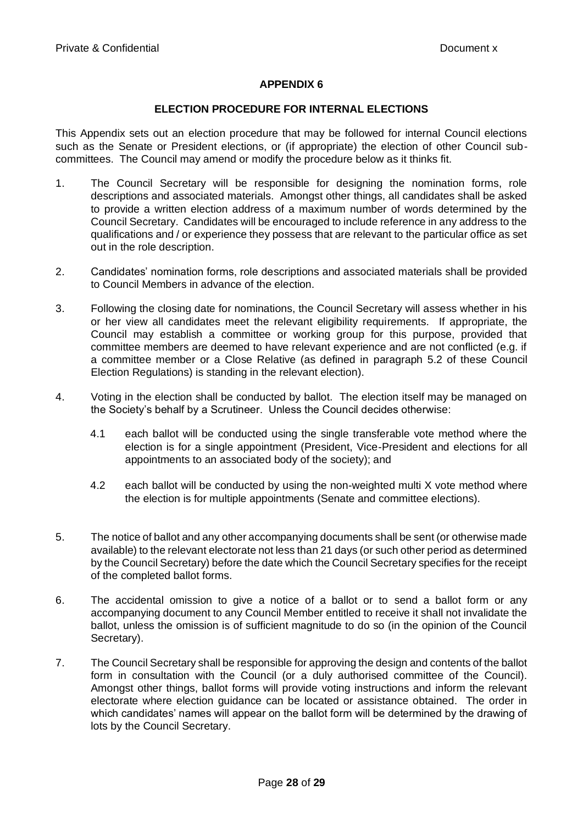#### **ELECTION PROCEDURE FOR INTERNAL ELECTIONS**

This Appendix sets out an election procedure that may be followed for internal Council elections such as the Senate or President elections, or (if appropriate) the election of other Council subcommittees. The Council may amend or modify the procedure below as it thinks fit.

- 1. The Council Secretary will be responsible for designing the nomination forms, role descriptions and associated materials. Amongst other things, all candidates shall be asked to provide a written election address of a maximum number of words determined by the Council Secretary. Candidates will be encouraged to include reference in any address to the qualifications and / or experience they possess that are relevant to the particular office as set out in the role description.
- 2. Candidates' nomination forms, role descriptions and associated materials shall be provided to Council Members in advance of the election.
- 3. Following the closing date for nominations, the Council Secretary will assess whether in his or her view all candidates meet the relevant eligibility requirements. If appropriate, the Council may establish a committee or working group for this purpose, provided that committee members are deemed to have relevant experience and are not conflicted (e.g. if a committee member or a Close Relative (as defined in paragraph 5.2 of these Council Election Regulations) is standing in the relevant election).
- 4. Voting in the election shall be conducted by ballot. The election itself may be managed on the Society's behalf by a Scrutineer. Unless the Council decides otherwise:
	- 4.1 each ballot will be conducted using the single transferable vote method where the election is for a single appointment (President, Vice-President and elections for all appointments to an associated body of the society); and
	- 4.2 each ballot will be conducted by using the non-weighted multi X vote method where the election is for multiple appointments (Senate and committee elections).
- 5. The notice of ballot and any other accompanying documents shall be sent (or otherwise made available) to the relevant electorate not less than 21 days (or such other period as determined by the Council Secretary) before the date which the Council Secretary specifies for the receipt of the completed ballot forms.
- 6. The accidental omission to give a notice of a ballot or to send a ballot form or any accompanying document to any Council Member entitled to receive it shall not invalidate the ballot, unless the omission is of sufficient magnitude to do so (in the opinion of the Council Secretary).
- 7. The Council Secretary shall be responsible for approving the design and contents of the ballot form in consultation with the Council (or a duly authorised committee of the Council). Amongst other things, ballot forms will provide voting instructions and inform the relevant electorate where election guidance can be located or assistance obtained. The order in which candidates' names will appear on the ballot form will be determined by the drawing of lots by the Council Secretary.